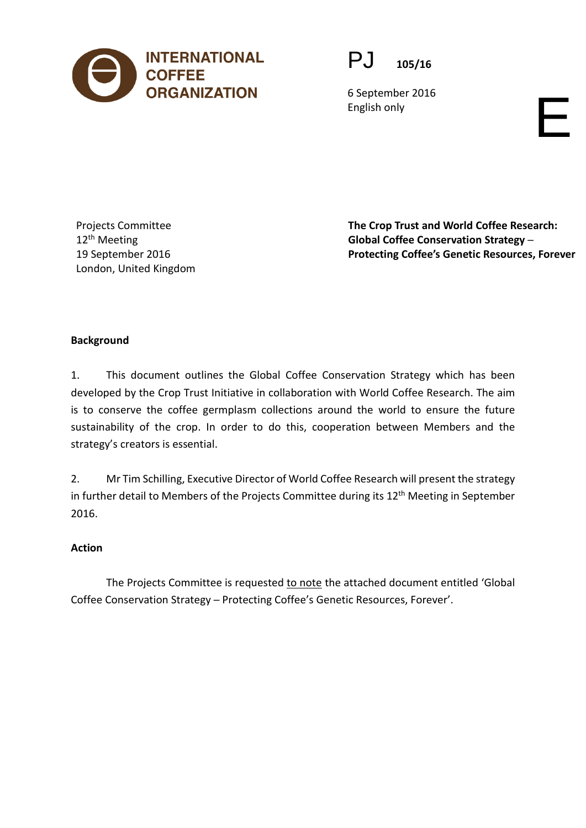



6 September 2016 English only

Projects Committee 12<sup>th</sup> Meeting 19 September 2016 London, United Kingdom **The Crop Trust and World Coffee Research: Global Coffee Conservation Strategy ─ Protecting Coffee's Genetic Resources, Forever**

# **Background**

1. This document outlines the Global Coffee Conservation Strategy which has been developed by the Crop Trust Initiative in collaboration with World Coffee Research. The aim is to conserve the coffee germplasm collections around the world to ensure the future sustainability of the crop. In order to do this, cooperation between Members and the strategy's creators is essential.

2. Mr Tim Schilling, Executive Director of World Coffee Research will present the strategy in further detail to Members of the Projects Committee during its 12<sup>th</sup> Meeting in September 2016.

# **Action**

The Projects Committee is requested to note the attached document entitled 'Global Coffee Conservation Strategy ─ Protecting Coffee's Genetic Resources, Forever'.